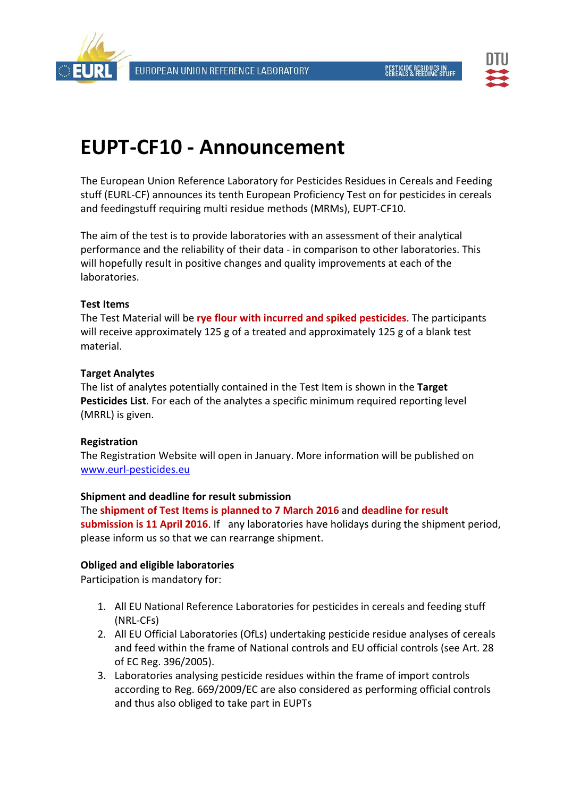



# **EUPT‐CF10 ‐ Announcement**

The European Union Reference Laboratory for Pesticides Residues in Cereals and Feeding stuff (EURL‐CF) announces its tenth European Proficiency Test on for pesticides in cereals and feedingstuff requiring multi residue methods (MRMs), EUPT‐CF10.

The aim of the test is to provide laboratories with an assessment of their analytical performance and the reliability of their data ‐ in comparison to other laboratories. This will hopefully result in positive changes and quality improvements at each of the laboratories.

## **Test Items**

The Test Material will be **rye flour with incurred and spiked pesticides**. The participants will receive approximately 125 g of a treated and approximately 125 g of a blank test material.

## **Target Analytes**

The list of analytes potentially contained in the Test Item is shown in the **Target Pesticides List**. For each of the analytes a specific minimum required reporting level (MRRL) is given.

# **Registration**

The Registration Website will open in January. More information will be published on www.eurl‐pesticides.eu

### **Shipment and deadline for result submission**

The **shipment of Test Items is planned to 7 March 2016** and **deadline for result submission is 11 April 2016**. If any laboratories have holidays during the shipment period, please inform us so that we can rearrange shipment.

# **Obliged and eligible laboratories**

Participation is mandatory for:

- 1. All EU National Reference Laboratories for pesticides in cereals and feeding stuff (NRL‐CFs)
- 2. All EU Official Laboratories (OfLs) undertaking pesticide residue analyses of cereals and feed within the frame of National controls and EU official controls (see Art. 28 of EC Reg. 396/2005).
- 3. Laboratories analysing pesticide residues within the frame of import controls according to Reg. 669/2009/EC are also considered as performing official controls and thus also obliged to take part in EUPTs